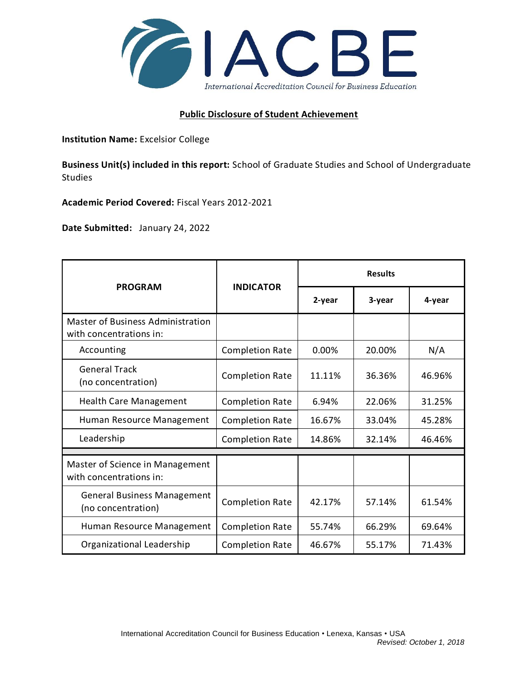

## **Public Disclosure of Student Achievement**

**Institution Name:** Excelsior College

**Business Unit(s) included in this report:** School of Graduate Studies and School of Undergraduate Studies

**Academic Period Covered:** Fiscal Years 2012-2021

**Date Submitted:** January 24, 2022

|                                                              | <b>INDICATOR</b>       | <b>Results</b> |        |        |
|--------------------------------------------------------------|------------------------|----------------|--------|--------|
| <b>PROGRAM</b>                                               |                        | 2-year         | 3-year | 4-year |
| Master of Business Administration<br>with concentrations in: |                        |                |        |        |
| Accounting                                                   | <b>Completion Rate</b> | 0.00%          | 20.00% | N/A    |
| <b>General Track</b><br>(no concentration)                   | <b>Completion Rate</b> | 11.11%         | 36.36% | 46.96% |
| <b>Health Care Management</b>                                | <b>Completion Rate</b> | 6.94%          | 22.06% | 31.25% |
| Human Resource Management                                    | <b>Completion Rate</b> | 16.67%         | 33.04% | 45.28% |
| Leadership                                                   | <b>Completion Rate</b> | 14.86%         | 32.14% | 46.46% |
|                                                              |                        |                |        |        |
| Master of Science in Management<br>with concentrations in:   |                        |                |        |        |
| <b>General Business Management</b><br>(no concentration)     | <b>Completion Rate</b> | 42.17%         | 57.14% | 61.54% |
| Human Resource Management                                    | <b>Completion Rate</b> | 55.74%         | 66.29% | 69.64% |
| Organizational Leadership                                    | <b>Completion Rate</b> | 46.67%         | 55.17% | 71.43% |